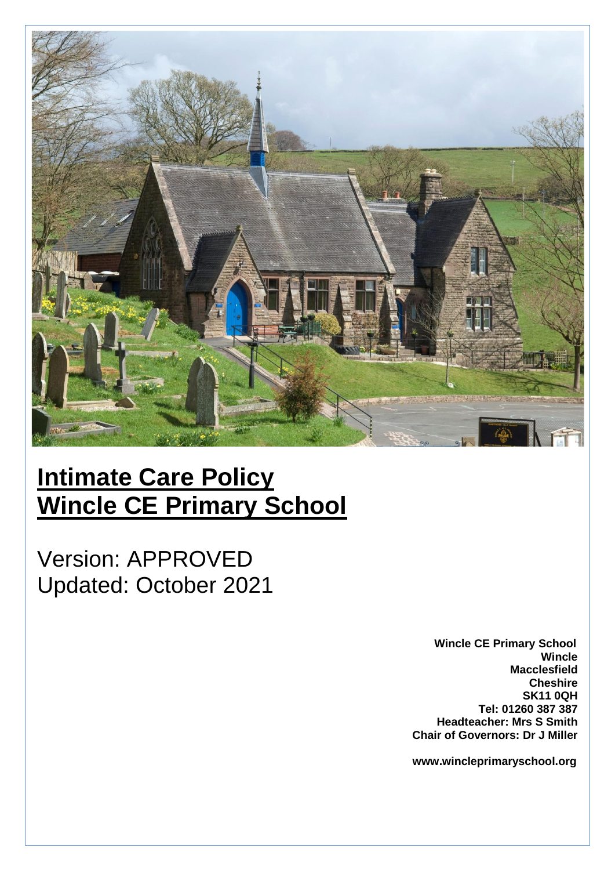

# **Intimate Care Policy Wincle CE Primary School**

Version: APPROVED Updated: October 2021

> **Wincle CE Primary School Wincle Macclesfield Cheshire SK11 0QH Tel: 01260 387 387 Headteacher: Mrs S Smith Chair of Governors: Dr J Miller**

> **www.wincleprimaryschool.org**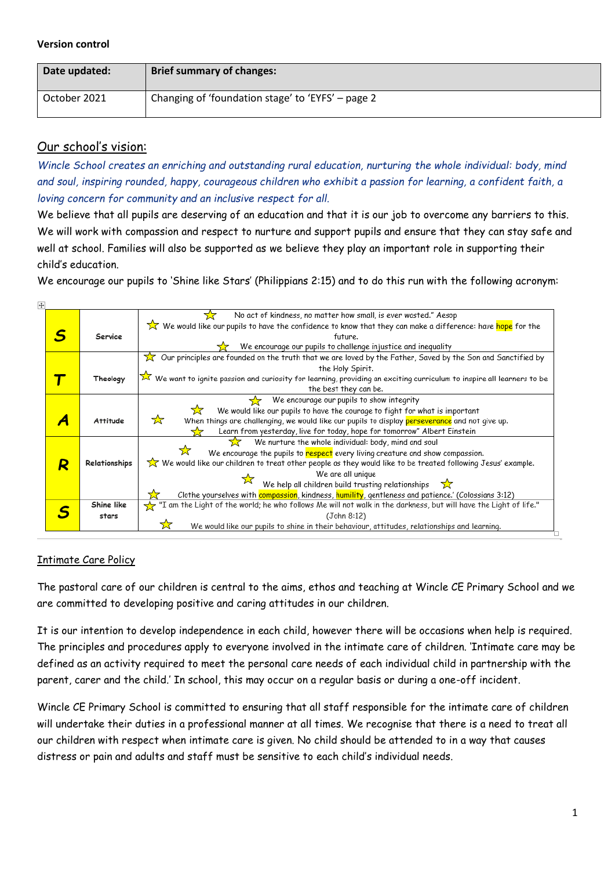#### **Version control**

| Date updated: | <b>Brief summary of changes:</b>                  |
|---------------|---------------------------------------------------|
| October 2021  | Changing of 'foundation stage' to 'EYFS' – page 2 |

# Our school's vision:

*Wincle School creates an enriching and outstanding rural education, nurturing the whole individual: body, mind and soul, inspiring rounded, happy, courageous children who exhibit a passion for learning, a confident faith, a loving concern for community and an inclusive respect for all.*

We believe that all pupils are deserving of an education and that it is our job to overcome any barriers to this. We will work with compassion and respect to nurture and support pupils and ensure that they can stay safe and well at school. Families will also be supported as we believe they play an important role in supporting their child's education.

We encourage our pupils to 'Shine like Stars' (Philippians 2:15) and to do this run with the following acronym:

| ÷. |                 |                                                                                                                                     |
|----|-----------------|-------------------------------------------------------------------------------------------------------------------------------------|
|    |                 | No act of kindness, no matter how small, is ever wasted." Aesop<br>77                                                               |
|    |                 | We would like our pupils to have the confidence to know that they can make a difference: have hope for the                          |
|    | Service         | future.                                                                                                                             |
|    |                 | We encourage our pupils to challenge injustice and inequality                                                                       |
|    |                 | $\chi$ Our principles are founded on the truth that we are loved by the Father, Saved by the Son and Sanctified by                  |
|    |                 | the Holy Spirit.                                                                                                                    |
|    | Theology        | $\bar{\times}$ We want to ignite passion and curiosity for learning, providing an exciting curriculum to inspire all learners to be |
|    |                 | the best they can be.                                                                                                               |
|    |                 | We encourage our pupils to show integrity                                                                                           |
|    |                 | 77<br>We would like our pupils to have the courage to fight for what is important                                                   |
|    | <b>Attitude</b> | ☆<br>When things are challenging, we would like our pupils to display perseverance and not give up.                                 |
|    |                 | Learn from yesterday, live for today, hope for tomorrow" Albert Einstein                                                            |
|    |                 | We nurture the whole individual: body, mind and soul<br>533                                                                         |
|    |                 | We encourage the pupils to respect every living creature and show compassion.                                                       |
| R  | Relationships   | We would like our children to treat other people as they would like to be treated following Jesus' example.                         |
|    |                 | We are all unique                                                                                                                   |
|    |                 | We help all children build trusting relationships $\overrightarrow{X}$                                                              |
|    |                 | Clothe yourselves with compassion, kindness, humility, gentleness and patience.' (Colossians 3:12)                                  |
|    | Shine like      | "I am the Light of the world; he who follows Me will not walk in the darkness, but will have the Light of life."                    |
|    | stars           | (John 8:12)                                                                                                                         |
|    |                 | We would like our pupils to shine in their behaviour, attitudes, relationships and learning.                                        |

# Intimate Care Policy

The pastoral care of our children is central to the aims, ethos and teaching at Wincle CE Primary School and we are committed to developing positive and caring attitudes in our children.

It is our intention to develop independence in each child, however there will be occasions when help is required. The principles and procedures apply to everyone involved in the intimate care of children. 'Intimate care may be defined as an activity required to meet the personal care needs of each individual child in partnership with the parent, carer and the child.' In school, this may occur on a regular basis or during a one-off incident.

Wincle CE Primary School is committed to ensuring that all staff responsible for the intimate care of children will undertake their duties in a professional manner at all times. We recognise that there is a need to treat all our children with respect when intimate care is given. No child should be attended to in a way that causes distress or pain and adults and staff must be sensitive to each child's individual needs.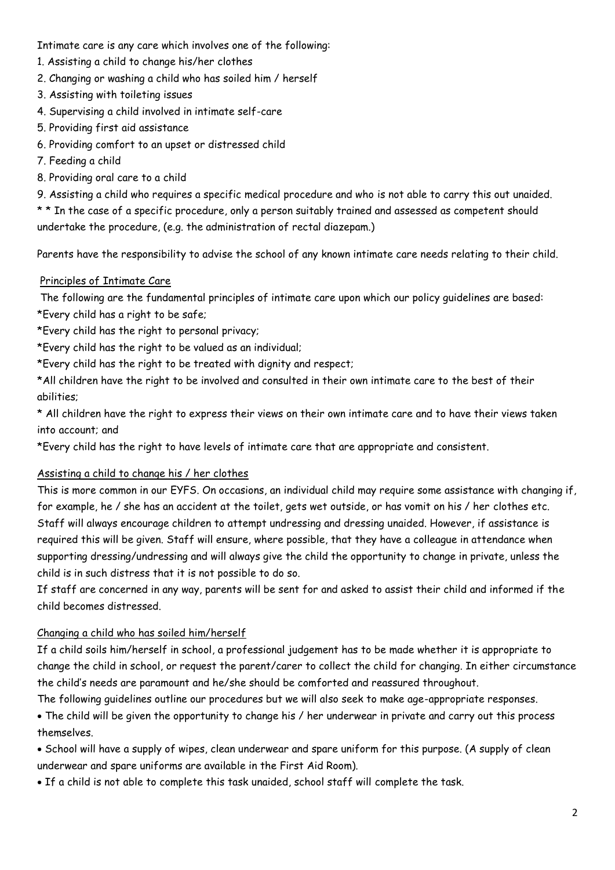Intimate care is any care which involves one of the following:

- 1. Assisting a child to change his/her clothes
- 2. Changing or washing a child who has soiled him / herself
- 3. Assisting with toileting issues
- 4. Supervising a child involved in intimate self-care
- 5. Providing first aid assistance
- 6. Providing comfort to an upset or distressed child
- 7. Feeding a child
- 8. Providing oral care to a child

9. Assisting a child who requires a specific medical procedure and who is not able to carry this out unaided.

\* \* In the case of a specific procedure, only a person suitably trained and assessed as competent should undertake the procedure, (e.g. the administration of rectal diazepam.)

Parents have the responsibility to advise the school of any known intimate care needs relating to their child.

#### Principles of Intimate Care

The following are the fundamental principles of intimate care upon which our policy guidelines are based: \*Every child has a right to be safe;

- \*Every child has the right to personal privacy;
- \*Every child has the right to be valued as an individual;

\*Every child has the right to be treated with dignity and respect;

\*All children have the right to be involved and consulted in their own intimate care to the best of their abilities;

\* All children have the right to express their views on their own intimate care and to have their views taken into account; and

\*Every child has the right to have levels of intimate care that are appropriate and consistent.

#### Assisting a child to change his / her clothes

This is more common in our EYFS. On occasions, an individual child may require some assistance with changing if, for example, he / she has an accident at the toilet, gets wet outside, or has vomit on his / her clothes etc. Staff will always encourage children to attempt undressing and dressing unaided. However, if assistance is required this will be given. Staff will ensure, where possible, that they have a colleague in attendance when supporting dressing/undressing and will always give the child the opportunity to change in private, unless the child is in such distress that it is not possible to do so.

If staff are concerned in any way, parents will be sent for and asked to assist their child and informed if the child becomes distressed.

# Changing a child who has soiled him/herself

If a child soils him/herself in school, a professional judgement has to be made whether it is appropriate to change the child in school, or request the parent/carer to collect the child for changing. In either circumstance the child's needs are paramount and he/she should be comforted and reassured throughout.

The following guidelines outline our procedures but we will also seek to make age-appropriate responses.

• The child will be given the opportunity to change his / her underwear in private and carry out this process themselves.

• School will have a supply of wipes, clean underwear and spare uniform for this purpose. (A supply of clean underwear and spare uniforms are available in the First Aid Room).

• If a child is not able to complete this task unaided, school staff will complete the task.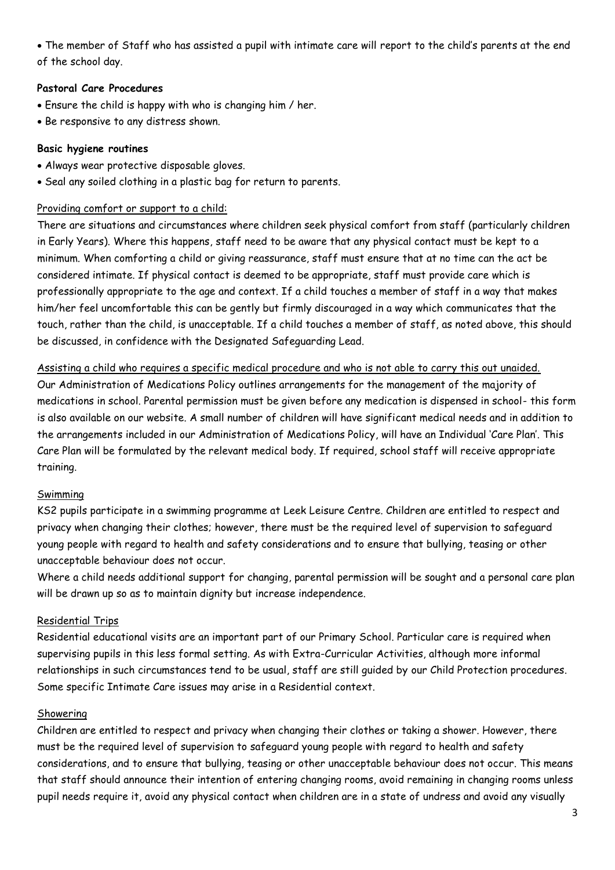• The member of Staff who has assisted a pupil with intimate care will report to the child's parents at the end of the school day.

#### **Pastoral Care Procedures**

- Ensure the child is happy with who is changing him / her.
- Be responsive to any distress shown.

#### **Basic hygiene routines**

- Always wear protective disposable gloves.
- Seal any soiled clothing in a plastic bag for return to parents.

#### Providing comfort or support to a child:

There are situations and circumstances where children seek physical comfort from staff (particularly children in Early Years). Where this happens, staff need to be aware that any physical contact must be kept to a minimum. When comforting a child or giving reassurance, staff must ensure that at no time can the act be considered intimate. If physical contact is deemed to be appropriate, staff must provide care which is professionally appropriate to the age and context. If a child touches a member of staff in a way that makes him/her feel uncomfortable this can be gently but firmly discouraged in a way which communicates that the touch, rather than the child, is unacceptable. If a child touches a member of staff, as noted above, this should be discussed, in confidence with the Designated Safeguarding Lead.

# Assisting a child who requires a specific medical procedure and who is not able to carry this out unaided.

Our Administration of Medications Policy outlines arrangements for the management of the majority of medications in school. Parental permission must be given before any medication is dispensed in school- this form is also available on our website. A small number of children will have significant medical needs and in addition to the arrangements included in our Administration of Medications Policy, will have an Individual 'Care Plan'. This Care Plan will be formulated by the relevant medical body. If required, school staff will receive appropriate training.

#### **Swimming**

KS2 pupils participate in a swimming programme at Leek Leisure Centre. Children are entitled to respect and privacy when changing their clothes; however, there must be the required level of supervision to safeguard young people with regard to health and safety considerations and to ensure that bullying, teasing or other unacceptable behaviour does not occur.

Where a child needs additional support for changing, parental permission will be sought and a personal care plan will be drawn up so as to maintain dignity but increase independence.

# Residential Trips

Residential educational visits are an important part of our Primary School. Particular care is required when supervising pupils in this less formal setting. As with Extra-Curricular Activities, although more informal relationships in such circumstances tend to be usual, staff are still guided by our Child Protection procedures. Some specific Intimate Care issues may arise in a Residential context.

#### Showering

Children are entitled to respect and privacy when changing their clothes or taking a shower. However, there must be the required level of supervision to safeguard young people with regard to health and safety considerations, and to ensure that bullying, teasing or other unacceptable behaviour does not occur. This means that staff should announce their intention of entering changing rooms, avoid remaining in changing rooms unless pupil needs require it, avoid any physical contact when children are in a state of undress and avoid any visually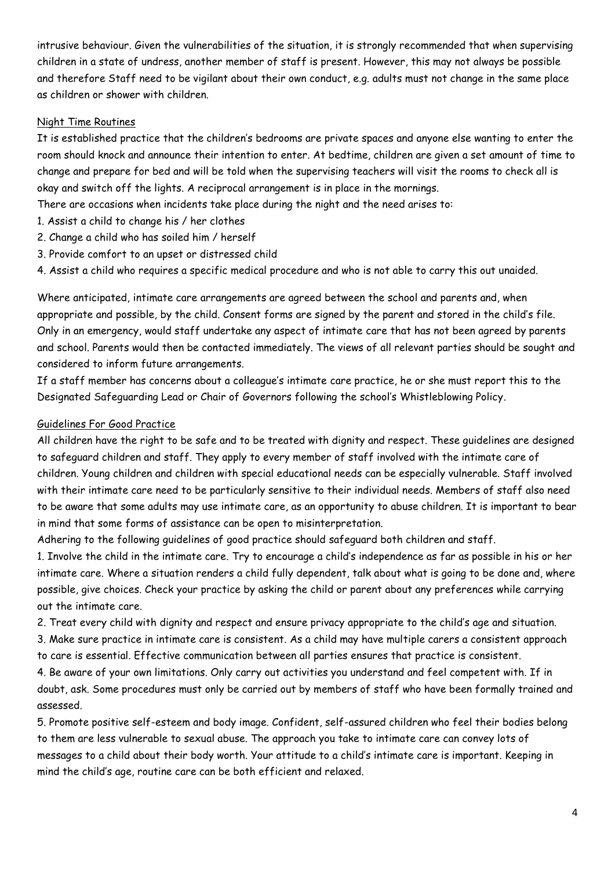intrusive behaviour. Given the vulnerabilities of the situation, it is strongly recommended that when supervising children in a state of undress, another member of staff is present. However, this may not always be possible and therefore Staff need to be vigilant about their own conduct, e.g. adults must not change in the same place as children or shower with children.

#### Night Time Routines

It is established practice that the children's bedrooms are private spaces and anyone else wanting to enter the room should knock and announce their intention to enter. At bedtime, children are given a set amount of time to change and prepare for bed and will be told when the supervising teachers will visit the rooms to check all is okay and switch off the lights. A reciprocal arrangement is in place in the mornings.

There are occasions when incidents take place during the night and the need arises to:

- 1. Assist a child to change his / her clothes
- 2. Change a child who has soiled him / herself
- 3. Provide comfort to an upset or distressed child
- 4. Assist a child who requires a specific medical procedure and who is not able to carry this out unaided.

Where anticipated, intimate care arrangements are agreed between the school and parents and, when appropriate and possible, by the child. Consent forms are signed by the parent and stored in the child's file. Only in an emergency, would staff undertake any aspect of intimate care that has not been agreed by parents and school. Parents would then be contacted immediately. The views of all relevant parties should be sought and considered to inform future arrangements.

If a staff member has concerns about a colleague's intimate care practice, he or she must report this to the Designated Safeguarding Lead or Chair of Governors following the school's Whistleblowing Policy.

#### Guidelines For Good Practice

All children have the right to be safe and to be treated with dignity and respect. These guidelines are designed to safeguard children and staff. They apply to every member of staff involved with the intimate care of children. Young children and children with special educational needs can be especially vulnerable. Staff involved with their intimate care need to be particularly sensitive to their individual needs. Members of staff also need to be aware that some adults may use intimate care, as an opportunity to abuse children. It is important to bear in mind that some forms of assistance can be open to misinterpretation.

Adhering to the following guidelines of good practice should safeguard both children and staff.

1. Involve the child in the intimate care. Try to encourage a child's independence as far as possible in his or her intimate care. Where a situation renders a child fully dependent, talk about what is going to be done and, where possible, give choices. Check your practice by asking the child or parent about any preferences while carrying out the intimate care.

2. Treat every child with dignity and respect and ensure privacy appropriate to the child's age and situation.

3. Make sure practice in intimate care is consistent. As a child may have multiple carers a consistent approach to care is essential. Effective communication between all parties ensures that practice is consistent.

4. Be aware of your own limitations. Only carry out activities you understand and feel competent with. If in doubt, ask. Some procedures must only be carried out by members of staff who have been formally trained and assessed.

5. Promote positive self-esteem and body image. Confident, self-assured children who feel their bodies belong to them are less vulnerable to sexual abuse. The approach you take to intimate care can convey lots of messages to a child about their body worth. Your attitude to a child's intimate care is important. Keeping in mind the child's age, routine care can be both efficient and relaxed.